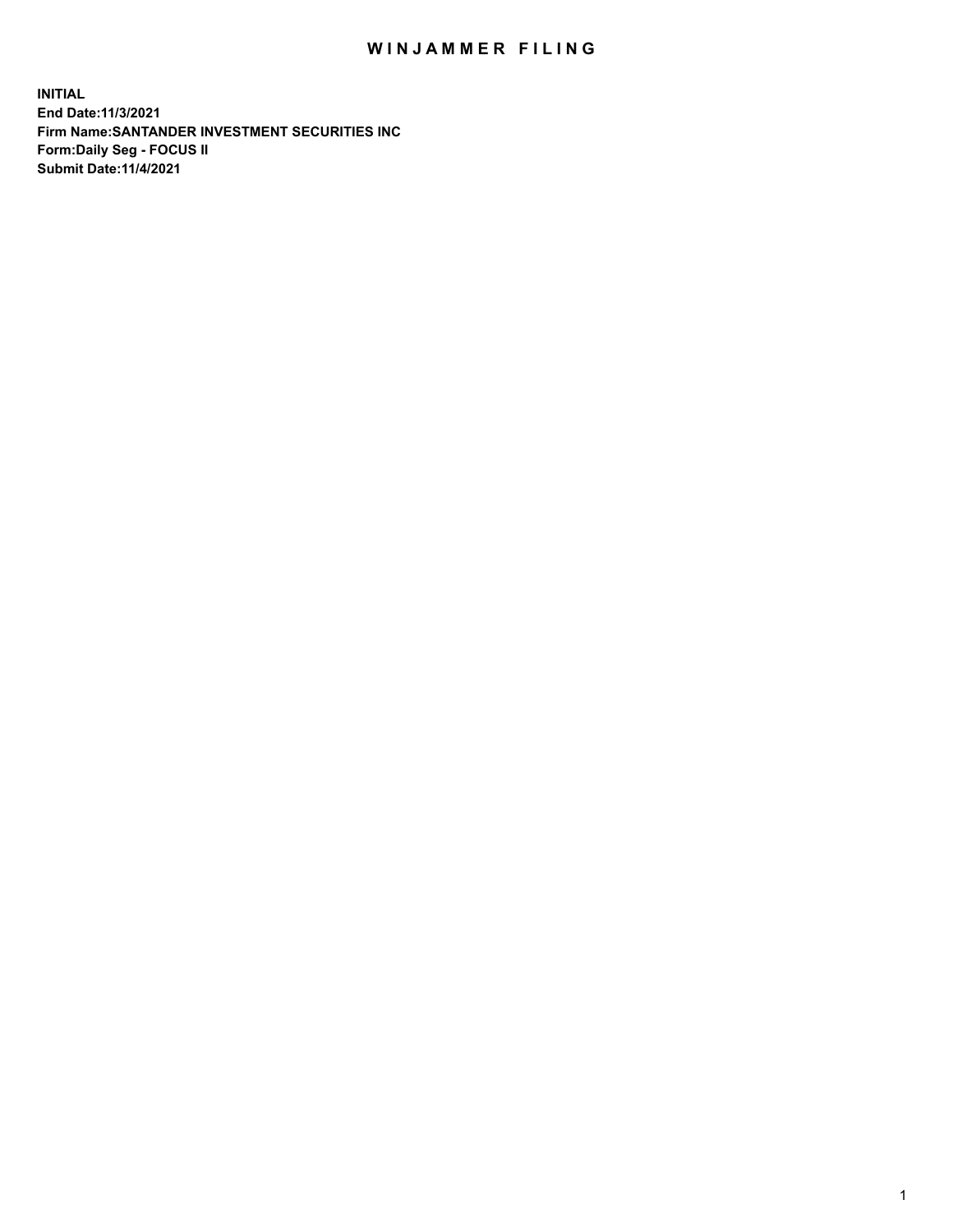## WIN JAMMER FILING

**INITIAL End Date:11/3/2021 Firm Name:SANTANDER INVESTMENT SECURITIES INC Form:Daily Seg - FOCUS II Submit Date:11/4/2021**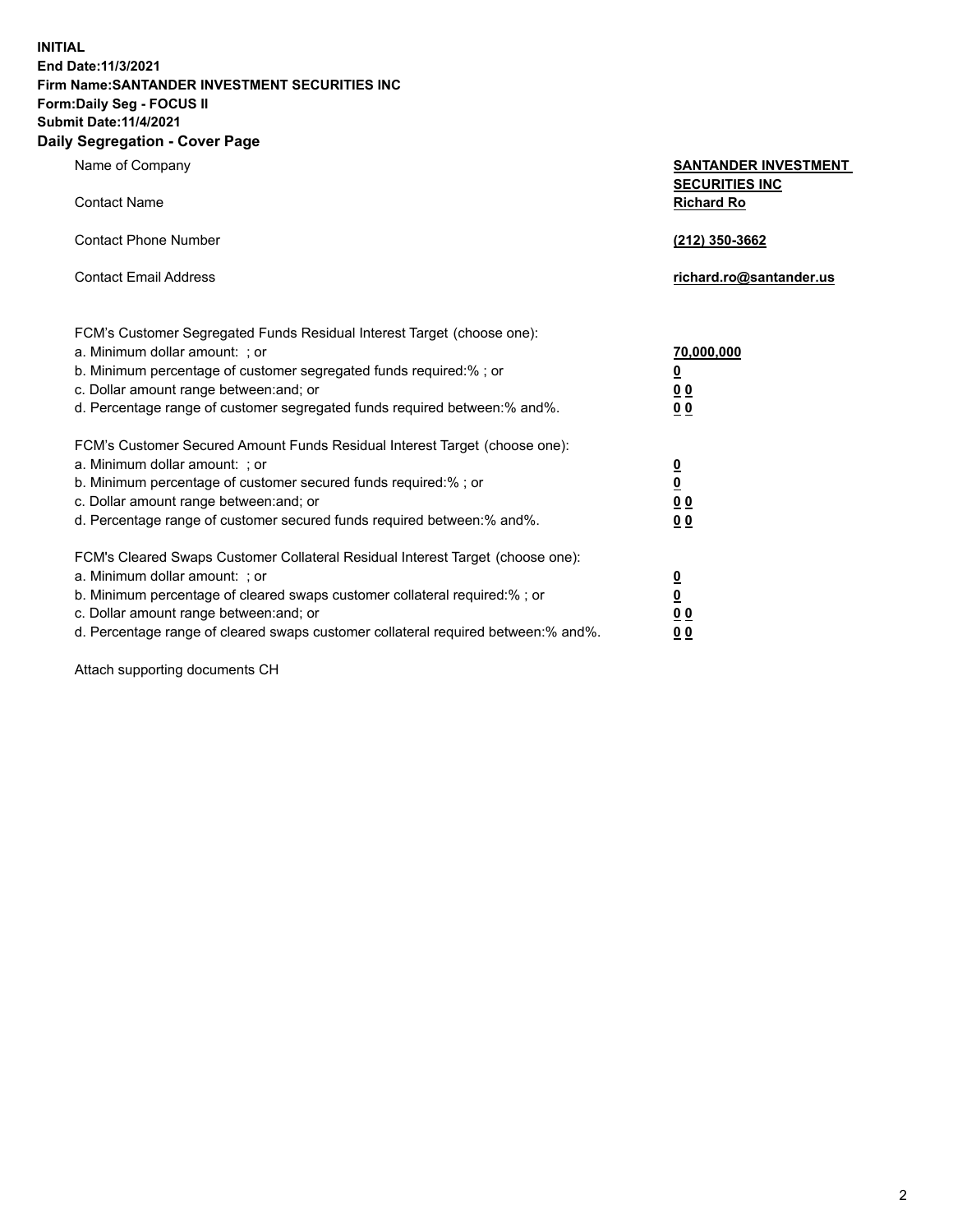**INITIAL End Date:11/3/2021 Firm Name:SANTANDER INVESTMENT SECURITIES INC Form:Daily Seg - FOCUS II Submit Date:11/4/2021 Daily Segregation - Cover Page**

| Name of Company<br><b>Contact Name</b>                                                                                                                                                                                                                                                                                        | <b>SANTANDER INVESTMENT</b><br><b>SECURITIES INC</b><br><b>Richard Ro</b> |  |
|-------------------------------------------------------------------------------------------------------------------------------------------------------------------------------------------------------------------------------------------------------------------------------------------------------------------------------|---------------------------------------------------------------------------|--|
| <b>Contact Phone Number</b>                                                                                                                                                                                                                                                                                                   | (212) 350-3662                                                            |  |
| <b>Contact Email Address</b>                                                                                                                                                                                                                                                                                                  | richard.ro@santander.us                                                   |  |
| FCM's Customer Segregated Funds Residual Interest Target (choose one):<br>a. Minimum dollar amount: ; or<br>b. Minimum percentage of customer segregated funds required:% ; or<br>c. Dollar amount range between: and; or<br>d. Percentage range of customer segregated funds required between:% and%.                        | 70,000,000<br><u>0</u><br>0 <sub>0</sub><br>0 <sub>0</sub>                |  |
| FCM's Customer Secured Amount Funds Residual Interest Target (choose one):<br>a. Minimum dollar amount: ; or<br>b. Minimum percentage of customer secured funds required:% ; or<br>c. Dollar amount range between: and; or<br>d. Percentage range of customer secured funds required between:% and%.                          | $\frac{\frac{0}{0}}{\frac{0}{0}}$<br>0 <sub>0</sub>                       |  |
| FCM's Cleared Swaps Customer Collateral Residual Interest Target (choose one):<br>a. Minimum dollar amount: : or<br>b. Minimum percentage of cleared swaps customer collateral required:%; or<br>c. Dollar amount range between: and; or<br>d. Percentage range of cleared swaps customer collateral required between:% and%. | $\frac{0}{0}$<br>0 <sub>0</sub><br>0 <sub>0</sub>                         |  |

Attach supporting documents CH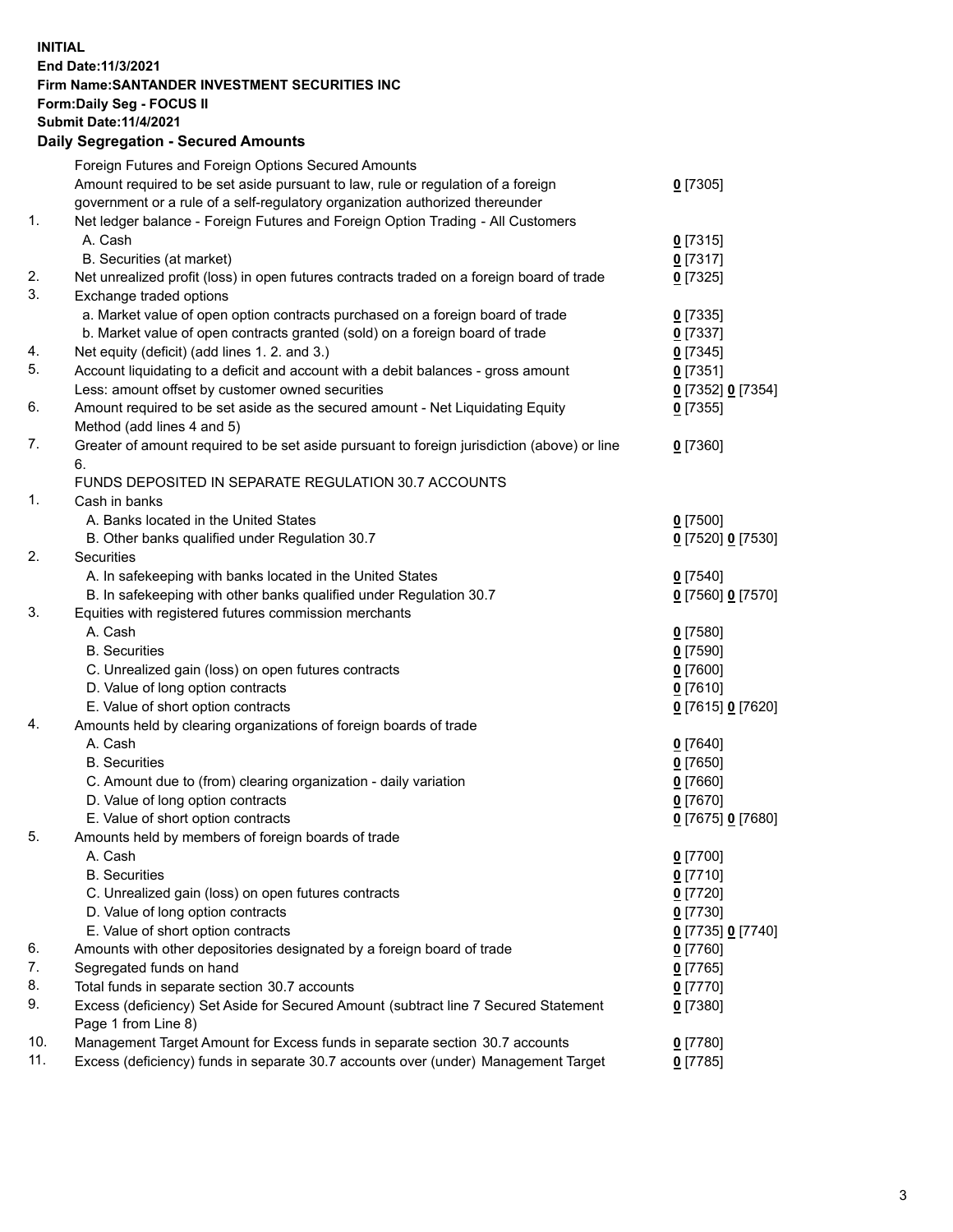## **INITIAL End Date:11/3/2021 Firm Name:SANTANDER INVESTMENT SECURITIES INC Form:Daily Seg - FOCUS II Submit Date:11/4/2021 Daily Segregation - Secured Amounts**

|     | Foreign Futures and Foreign Options Secured Amounts                                         |                   |
|-----|---------------------------------------------------------------------------------------------|-------------------|
|     | Amount required to be set aside pursuant to law, rule or regulation of a foreign            | $0$ [7305]        |
|     | government or a rule of a self-regulatory organization authorized thereunder                |                   |
| 1.  | Net ledger balance - Foreign Futures and Foreign Option Trading - All Customers             |                   |
|     | A. Cash                                                                                     | $0$ [7315]        |
|     | B. Securities (at market)                                                                   | $0$ [7317]        |
| 2.  | Net unrealized profit (loss) in open futures contracts traded on a foreign board of trade   | $0$ [7325]        |
| 3.  | Exchange traded options                                                                     |                   |
|     | a. Market value of open option contracts purchased on a foreign board of trade              | $0$ [7335]        |
|     | b. Market value of open contracts granted (sold) on a foreign board of trade                | $0$ [7337]        |
| 4.  | Net equity (deficit) (add lines 1. 2. and 3.)                                               | $0$ [7345]        |
| 5.  | Account liquidating to a deficit and account with a debit balances - gross amount           | $0$ [7351]        |
|     | Less: amount offset by customer owned securities                                            | 0 [7352] 0 [7354] |
| 6.  | Amount required to be set aside as the secured amount - Net Liquidating Equity              | $0$ [7355]        |
|     | Method (add lines 4 and 5)                                                                  |                   |
| 7.  | Greater of amount required to be set aside pursuant to foreign jurisdiction (above) or line | $0$ [7360]        |
|     | 6.                                                                                          |                   |
|     | FUNDS DEPOSITED IN SEPARATE REGULATION 30.7 ACCOUNTS                                        |                   |
| 1.  | Cash in banks                                                                               |                   |
|     | A. Banks located in the United States                                                       | $0$ [7500]        |
|     | B. Other banks qualified under Regulation 30.7                                              | 0 [7520] 0 [7530] |
| 2.  | <b>Securities</b>                                                                           |                   |
|     | A. In safekeeping with banks located in the United States                                   | $0$ [7540]        |
|     | B. In safekeeping with other banks qualified under Regulation 30.7                          | 0 [7560] 0 [7570] |
| 3.  | Equities with registered futures commission merchants                                       |                   |
|     | A. Cash                                                                                     | $0$ [7580]        |
|     | <b>B.</b> Securities                                                                        | $0$ [7590]        |
|     | C. Unrealized gain (loss) on open futures contracts                                         | $0$ [7600]        |
|     | D. Value of long option contracts                                                           | $0$ [7610]        |
|     | E. Value of short option contracts                                                          | 0 [7615] 0 [7620] |
| 4.  | Amounts held by clearing organizations of foreign boards of trade                           |                   |
|     | A. Cash                                                                                     | $0$ [7640]        |
|     | <b>B.</b> Securities                                                                        | $0$ [7650]        |
|     | C. Amount due to (from) clearing organization - daily variation                             | $0$ [7660]        |
|     | D. Value of long option contracts                                                           | $0$ [7670]        |
|     | E. Value of short option contracts                                                          | 0 [7675] 0 [7680] |
| 5.  | Amounts held by members of foreign boards of trade                                          |                   |
|     | A. Cash                                                                                     | $0$ [7700]        |
|     | <b>B.</b> Securities                                                                        | $0$ [7710]        |
|     | C. Unrealized gain (loss) on open futures contracts                                         | $0$ [7720]        |
|     | D. Value of long option contracts                                                           | $0$ [7730]        |
|     | E. Value of short option contracts                                                          | 0 [7735] 0 [7740] |
| 6.  | Amounts with other depositories designated by a foreign board of trade                      | $0$ [7760]        |
| 7.  | Segregated funds on hand                                                                    | $0$ [7765]        |
| 8.  | Total funds in separate section 30.7 accounts                                               | $0$ [7770]        |
| 9.  | Excess (deficiency) Set Aside for Secured Amount (subtract line 7 Secured Statement         | $0$ [7380]        |
|     | Page 1 from Line 8)                                                                         |                   |
| 10. | Management Target Amount for Excess funds in separate section 30.7 accounts                 | $0$ [7780]        |
| 11. | Excess (deficiency) funds in separate 30.7 accounts over (under) Management Target          | $0$ [7785]        |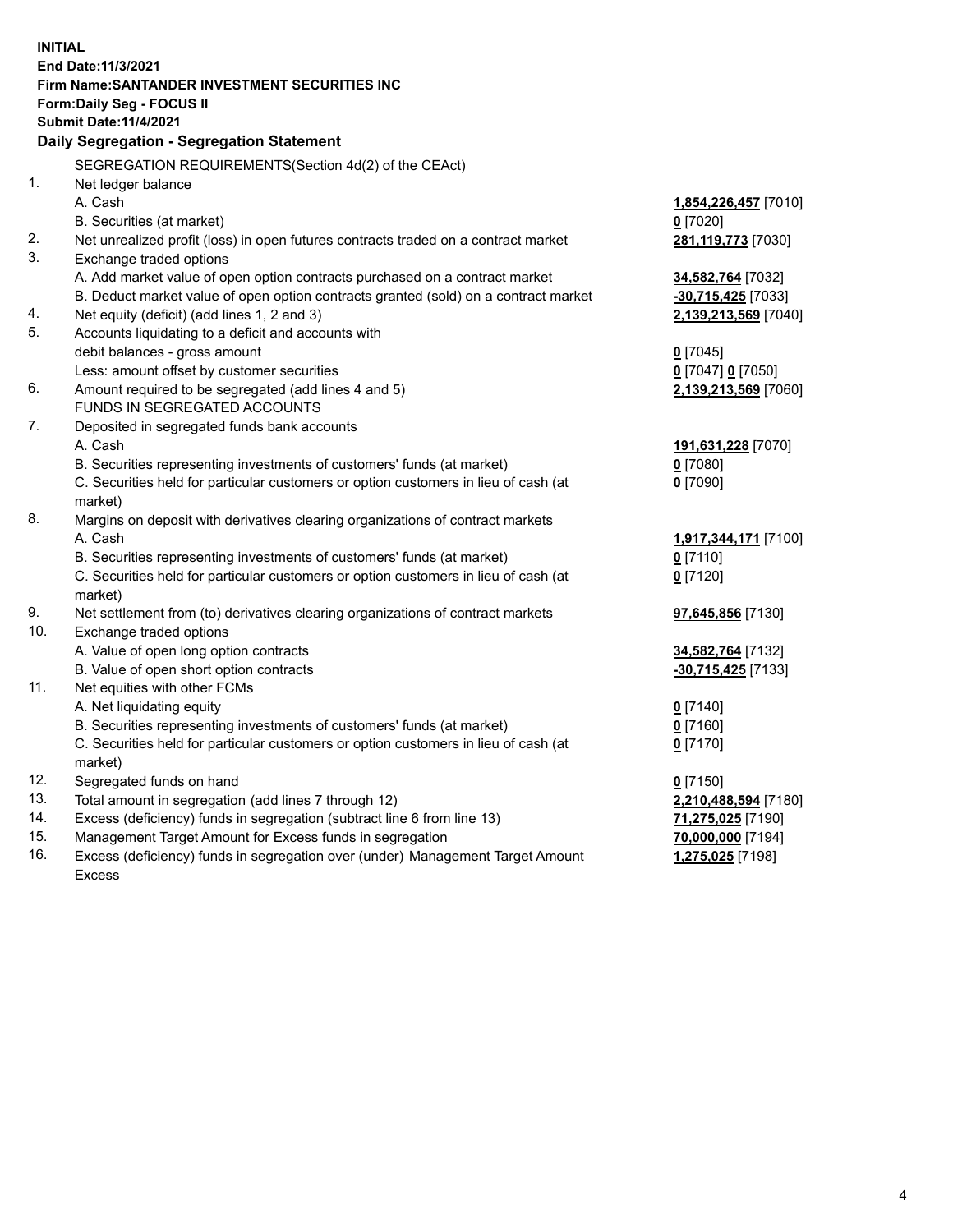| <b>INITIAL</b> |                                                                                     |                      |  |  |  |
|----------------|-------------------------------------------------------------------------------------|----------------------|--|--|--|
|                | End Date: 11/3/2021                                                                 |                      |  |  |  |
|                | Firm Name: SANTANDER INVESTMENT SECURITIES INC                                      |                      |  |  |  |
|                | <b>Form:Daily Seg - FOCUS II</b>                                                    |                      |  |  |  |
|                | <b>Submit Date: 11/4/2021</b>                                                       |                      |  |  |  |
|                | Daily Segregation - Segregation Statement                                           |                      |  |  |  |
|                | SEGREGATION REQUIREMENTS(Section 4d(2) of the CEAct)                                |                      |  |  |  |
| 1.             | Net ledger balance                                                                  |                      |  |  |  |
|                | A. Cash                                                                             | 1,854,226,457 [7010] |  |  |  |
|                | B. Securities (at market)                                                           | $0$ [7020]           |  |  |  |
| 2.             | Net unrealized profit (loss) in open futures contracts traded on a contract market  | 281,119,773 [7030]   |  |  |  |
| 3.             | Exchange traded options                                                             |                      |  |  |  |
|                | A. Add market value of open option contracts purchased on a contract market         | 34,582,764 [7032]    |  |  |  |
|                | B. Deduct market value of open option contracts granted (sold) on a contract market | $-30,715,425$ [7033] |  |  |  |
| 4.             | Net equity (deficit) (add lines 1, 2 and 3)                                         | 2,139,213,569 [7040] |  |  |  |
| 5.             | Accounts liquidating to a deficit and accounts with                                 |                      |  |  |  |
|                | debit balances - gross amount                                                       | $0$ [7045]           |  |  |  |
|                | Less: amount offset by customer securities                                          | 0 [7047] 0 [7050]    |  |  |  |
| 6.             | Amount required to be segregated (add lines 4 and 5)                                | 2,139,213,569 [7060] |  |  |  |
|                | FUNDS IN SEGREGATED ACCOUNTS                                                        |                      |  |  |  |
| 7.             | Deposited in segregated funds bank accounts                                         |                      |  |  |  |
|                | A. Cash                                                                             | 191,631,228 [7070]   |  |  |  |
|                | B. Securities representing investments of customers' funds (at market)              | $0$ [7080]           |  |  |  |
|                | C. Securities held for particular customers or option customers in lieu of cash (at | $0$ [7090]           |  |  |  |
|                | market)                                                                             |                      |  |  |  |
| 8.             | Margins on deposit with derivatives clearing organizations of contract markets      |                      |  |  |  |
|                | A. Cash                                                                             | 1,917,344,171 [7100] |  |  |  |
|                | B. Securities representing investments of customers' funds (at market)              | $0$ [7110]           |  |  |  |
|                | C. Securities held for particular customers or option customers in lieu of cash (at | $0$ [7120]           |  |  |  |
|                | market)                                                                             |                      |  |  |  |
| 9.             | Net settlement from (to) derivatives clearing organizations of contract markets     | 97,645,856 [7130]    |  |  |  |
| 10.            | Exchange traded options                                                             |                      |  |  |  |
|                | A. Value of open long option contracts                                              | 34,582,764 [7132]    |  |  |  |
|                | B. Value of open short option contracts                                             | -30,715,425 [7133]   |  |  |  |
| 11.            | Net equities with other FCMs                                                        |                      |  |  |  |
|                | A. Net liquidating equity                                                           | $0$ [7140]           |  |  |  |
|                | B. Securities representing investments of customers' funds (at market)              | $0$ [7160]           |  |  |  |
|                | C. Securities held for particular customers or option customers in lieu of cash (at | $0$ [7170]           |  |  |  |
|                | market)                                                                             |                      |  |  |  |
| 12.            | Segregated funds on hand                                                            | $0$ [7150]           |  |  |  |
| 13.            | Total amount in segregation (add lines 7 through 12)                                | 2,210,488,594 [7180] |  |  |  |
| 14.            | Excess (deficiency) funds in segregation (subtract line 6 from line 13)             | 71,275,025 [7190]    |  |  |  |
| 15.            | Management Target Amount for Excess funds in segregation                            | 70,000,000 [7194]    |  |  |  |
| 16.            | Excess (deficiency) funds in segregation over (under) Management Target Amount      | 1,275,025 [7198]     |  |  |  |
|                | Excess                                                                              |                      |  |  |  |